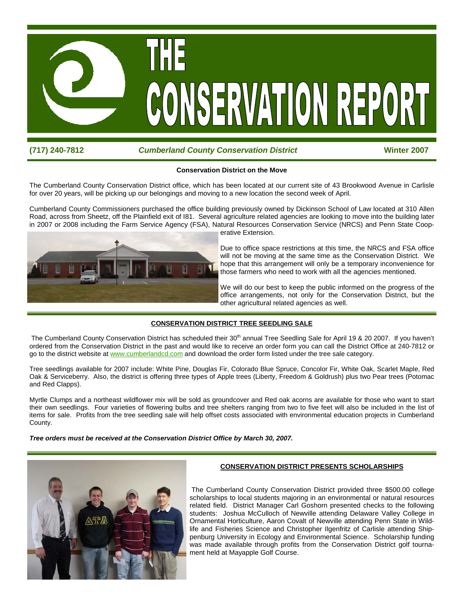

# **(717) 240-7812** *Cumberland County Conservation District* **Winter 2007**

## **Conservation District on the Move**

The Cumberland County Conservation District office, which has been located at our current site of 43 Brookwood Avenue in Carlisle for over 20 years, will be picking up our belongings and moving to a new location the second week of April.

Cumberland County Commissioners purchased the office building previously owned by Dickinson School of Law located at 310 Allen Road, across from Sheetz, off the Plainfield exit of I81. Several agriculture related agencies are looking to move into the building later in 2007 or 2008 including the Farm Service Agency (FSA), Natural Resources Conservation Service (NRCS) and Penn State Cooperative Extension.



Due to office space restrictions at this time, the NRCS and FSA office will not be moving at the same time as the Conservation District. We hope that this arrangement will only be a temporary inconvenience for those farmers who need to work with all the agencies mentioned.

We will do our best to keep the public informed on the progress of the office arrangements, not only for the Conservation District, but the other agricultural related agencies as well.

# **CONSERVATION DISTRICT TREE SEEDLING SALE**

The Cumberland County Conservation District has scheduled their 30<sup>th</sup> annual Tree Seedling Sale for April 19 & 20 2007. If you haven't ordered from the Conservation District in the past and would like to receive an order form you can call the District Office at 240-7812 or go to the district website at www.cumberlandcd.com and download the order form listed under the tree sale category.

Tree seedlings available for 2007 include: White Pine, Douglas Fir, Colorado Blue Spruce, Concolor Fir, White Oak, Scarlet Maple, Red Oak & Serviceberry. Also, the district is offering three types of Apple trees (Liberty, Freedom & Goldrush) plus two Pear trees (Potomac and Red Clapps).

Myrtle Clumps and a northeast wildflower mix will be sold as groundcover and Red oak acorns are available for those who want to start their own seedlings. Four varieties of flowering bulbs and tree shelters ranging from two to five feet will also be included in the list of items for sale. Profits from the tree seedling sale will help offset costs associated with environmental education projects in Cumberland County.

*Tree orders must be received at the Conservation District Office by March 30, 2007.* 



# **CONSERVATION DISTRICT PRESENTS SCHOLARSHIPS**

 The Cumberland County Conservation District provided three \$500.00 college scholarships to local students majoring in an environmental or natural resources related field. District Manager Carl Goshorn presented checks to the following students: Joshua McCulloch of Newville attending Delaware Valley College in Ornamental Horticulture, Aaron Covalt of Newville attending Penn State in Wildlife and Fisheries Science and Christopher Ilgenfritz of Carlisle attending Shippenburg University in Ecology and Environmental Science. Scholarship funding was made available through profits from the Conservation District golf tournament held at Mayapple Golf Course.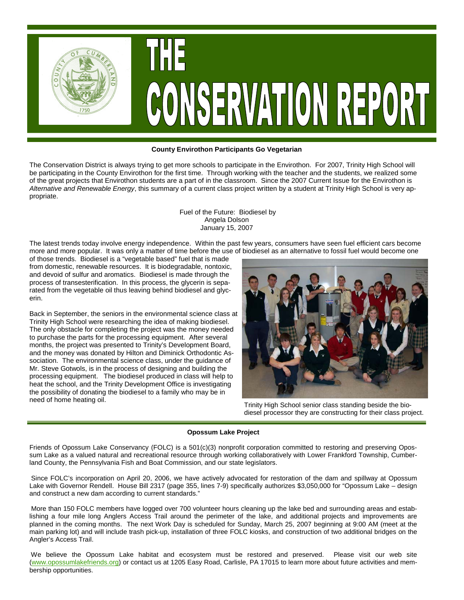

#### **County Envirothon Participants Go Vegetarian**

The Conservation District is always trying to get more schools to participate in the Envirothon. For 2007, Trinity High School will be participating in the County Envirothon for the first time. Through working with the teacher and the students, we realized some of the great projects that Envirothon students are a part of in the classroom. Since the 2007 Current Issue for the Envirothon is *Alternative and Renewable Energy*, this summary of a current class project written by a student at Trinity High School is very appropriate.

> Fuel of the Future: Biodiesel by Angela Dolson January 15, 2007

The latest trends today involve energy independence. Within the past few years, consumers have seen fuel efficient cars become more and more popular. It was only a matter of time before the use of biodiesel as an alternative to fossil fuel would become one

of those trends. Biodiesel is a "vegetable based" fuel that is made from domestic, renewable resources. It is biodegradable, nontoxic, and devoid of sulfur and aromatics. Biodiesel is made through the process of transesterification. In this process, the glycerin is separated from the vegetable oil thus leaving behind biodiesel and glycerin.

Back in September, the seniors in the environmental science class at Trinity High School were researching the idea of making biodiesel. The only obstacle for completing the project was the money needed to purchase the parts for the processing equipment. After several months, the project was presented to Trinity's Development Board, and the money was donated by Hilton and Diminick Orthodontic Association. The environmental science class, under the guidance of Mr. Steve Gotwols, is in the process of designing and building the processing equipment. The biodiesel produced in class will help to heat the school, and the Trinity Development Office is investigating the possibility of donating the biodiesel to a family who may be in need of home heating oil. Trinity High School senior class standing beside the bio-



diesel processor they are constructing for their class project.

#### **Opossum Lake Project**

Friends of Opossum Lake Conservancy (FOLC) is a 501(c)(3) nonprofit corporation committed to restoring and preserving Opossum Lake as a valued natural and recreational resource through working collaboratively with Lower Frankford Township, Cumberland County, the Pennsylvania Fish and Boat Commission, and our state legislators.

Since FOLC's incorporation on April 20, 2006, we have actively advocated for restoration of the dam and spillway at Opossum Lake with Governor Rendell. House Bill 2317 (page 355, lines 7-9) specifically authorizes \$3,050,000 for "Opossum Lake – design and construct a new dam according to current standards."

More than 150 FOLC members have logged over 700 volunteer hours cleaning up the lake bed and surrounding areas and establishing a four mile long Anglers Access Trail around the perimeter of the lake, and additional projects and improvements are planned in the coming months. The next Work Day is scheduled for Sunday, March 25, 2007 beginning at 9:00 AM (meet at the main parking lot) and will include trash pick-up, installation of three FOLC kiosks, and construction of two additional bridges on the Angler's Access Trail.

We believe the Opossum Lake habitat and ecosystem must be restored and preserved. Please visit our web site (www.opossumlakefriends.org) or contact us at 1205 Easy Road, Carlisle, PA 17015 to learn more about future activities and membership opportunities.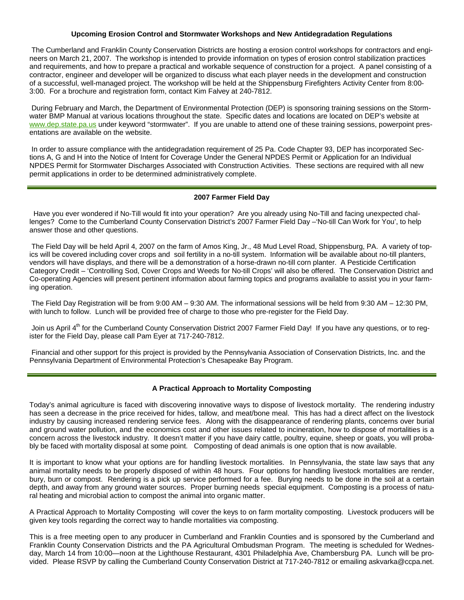# **Upcoming Erosion Control and Stormwater Workshops and New Antidegradation Regulations**

 The Cumberland and Franklin County Conservation Districts are hosting a erosion control workshops for contractors and engineers on March 21, 2007. The workshop is intended to provide information on types of erosion control stabilization practices and requirements, and how to prepare a practical and workable sequence of construction for a project. A panel consisting of a contractor, engineer and developer will be organized to discuss what each player needs in the development and construction of a successful, well-managed project. The workshop will be held at the Shippensburg Firefighters Activity Center from 8:00- 3:00. For a brochure and registration form, contact Kim Falvey at 240-7812.

 During February and March, the Department of Environmental Protection (DEP) is sponsoring training sessions on the Stormwater BMP Manual at various locations throughout the state. Specific dates and locations are located on DEP's website at www.dep.state.pa.us under keyword "stormwater". If you are unable to attend one of these training sessions, powerpoint presentations are available on the website.

 In order to assure compliance with the antidegradation requirement of 25 Pa. Code Chapter 93, DEP has incorporated Sections A, G and H into the Notice of Intent for Coverage Under the General NPDES Permit or Application for an Individual NPDES Permit for Stormwater Discharges Associated with Construction Activities. These sections are required with all new permit applications in order to be determined administratively complete.

## **2007 Farmer Field Day**

 Have you ever wondered if No-Till would fit into your operation? Are you already using No-Till and facing unexpected challenges? Come to the Cumberland County Conservation District's 2007 Farmer Field Day –'No-till Can Work for You', to help answer those and other questions.

 The Field Day will be held April 4, 2007 on the farm of Amos King, Jr., 48 Mud Level Road, Shippensburg, PA. A variety of topics will be covered including cover crops and soil fertility in a no-till system. Information will be available about no-till planters, vendors will have displays, and there will be a demonstration of a horse-drawn no-till corn planter. A Pesticide Certification Category Credit – 'Controlling Sod, Cover Crops and Weeds for No-till Crops' will also be offered. The Conservation District and Co-operating Agencies will present pertinent information about farming topics and programs available to assist you in your farming operation.

 The Field Day Registration will be from 9:00 AM – 9:30 AM. The informational sessions will be held from 9:30 AM – 12:30 PM, with lunch to follow. Lunch will be provided free of charge to those who pre-register for the Field Day.

Join us April  $4<sup>m</sup>$  for the Cumberland County Conservation District 2007 Farmer Field Day! If you have any questions, or to register for the Field Day, please call Pam Eyer at 717-240-7812.

 Financial and other support for this project is provided by the Pennsylvania Association of Conservation Districts, Inc. and the Pennsylvania Department of Environmental Protection's Chesapeake Bay Program.

## **A Practical Approach to Mortality Composting**

Today's animal agriculture is faced with discovering innovative ways to dispose of livestock mortality. The rendering industry has seen a decrease in the price received for hides, tallow, and meat/bone meal. This has had a direct affect on the livestock industry by causing increased rendering service fees. Along with the disappearance of rendering plants, concerns over burial and ground water pollution, and the economics cost and other issues related to incineration, how to dispose of mortalities is a concern across the livestock industry. It doesn't matter if you have dairy cattle, poultry, equine, sheep or goats, you will probably be faced with mortality disposal at some point. Composting of dead animals is one option that is now available.

It is important to know what your options are for handling livestock mortalities. In Pennsylvania, the state law says that any animal mortality needs to be properly disposed of within 48 hours. Four options for handling livestock mortalities are render, bury, burn or compost. Rendering is a pick up service performed for a fee. Burying needs to be done in the soil at a certain depth, and away from any ground water sources. Proper burning needs special equipment. Composting is a process of natural heating and microbial action to compost the animal into organic matter.

A Practical Approach to Mortality Composting will cover the keys to on farm mortality composting. Livestock producers will be given key tools regarding the correct way to handle mortalities via composting.

This is a free meeting open to any producer in Cumberland and Franklin Counties and is sponsored by the Cumberland and Franklin County Conservation Districts and the PA Agricultural Ombudsman Program. The meeting is scheduled for Wednesday, March 14 from 10:00—noon at the Lighthouse Restaurant, 4301 Philadelphia Ave, Chambersburg PA. Lunch will be provided. Please RSVP by calling the Cumberland County Conservation District at 717-240-7812 or emailing askvarka@ccpa.net.